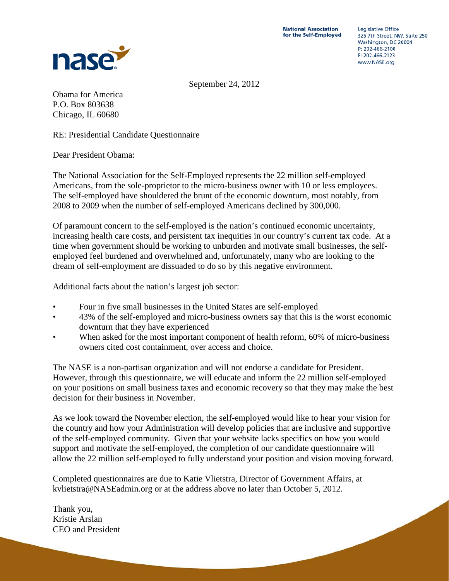**National Association** for the Self-Employed



**Legislative Office** 325 7th Street, NW, Suite 250 Washington, DC 20004 P: 202-466-2100  $F: 202 - 466 - 2123$ www.NASE.org

September 24, 2012

Obama for America P.O. Box 803638 Chicago, IL 60680

RE: Presidential Candidate Questionnaire

Dear President Obama:

The National Association for the Self-Employed represents the 22 million self-employed Americans, from the sole-proprietor to the micro-business owner with 10 or less employees. The self-employed have shouldered the brunt of the economic downturn, most notably, from 2008 to 2009 when the number of self-employed Americans declined by 300,000.

Of paramount concern to the self-employed is the nation's continued economic uncertainty, increasing health care costs, and persistent tax inequities in our country's current tax code. At a time when government should be working to unburden and motivate small businesses, the selfemployed feel burdened and overwhelmed and, unfortunately, many who are looking to the dream of self-employment are dissuaded to do so by this negative environment.

Additional facts about the nation's largest job sector:

- Four in five small businesses in the United States are self-employed
- 43% of the self-employed and micro-business owners say that this is the worst economic downturn that they have experienced
- When asked for the most important component of health reform, 60% of micro-business owners cited cost containment, over access and choice.

The NASE is a non-partisan organization and will not endorse a candidate for President. However, through this questionnaire, we will educate and inform the 22 million self-employed on your positions on small business taxes and economic recovery so that they may make the best decision for their business in November.

As we look toward the November election, the self-employed would like to hear your vision for the country and how your Administration will develop policies that are inclusive and supportive of the self-employed community. Given that your website lacks specifics on how you would support and motivate the self-employed, the completion of our candidate questionnaire will allow the 22 million self-employed to fully understand your position and vision moving forward.

Completed questionnaires are due to Katie Vlietstra, Director of Government Affairs, at kvlietstra@NASEadmin.org or at the address above no later than October 5, 2012.

Thank you, Kristie Arslan CEO and President